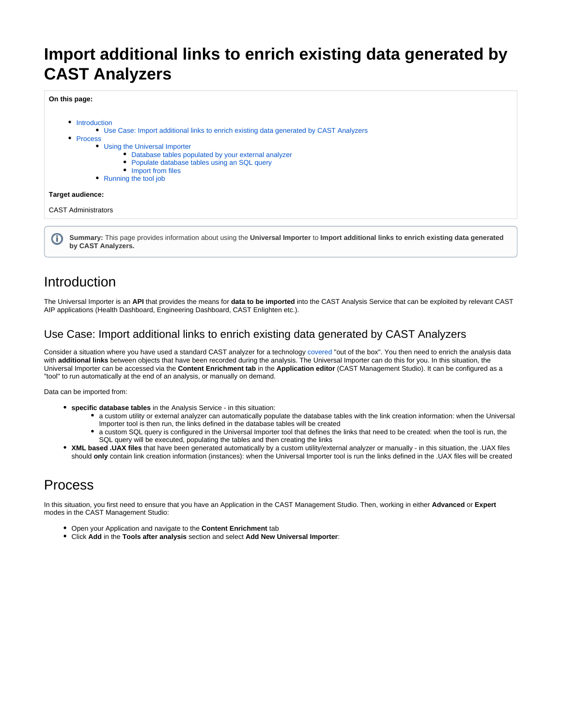# **Import additional links to enrich existing data generated by CAST Analyzers**

**On this page:**



**Summary:** This page provides information about using the **Universal Importer** to **Import additional links to enrich existing data generated by CAST Analyzers.**

# <span id="page-0-0"></span>Introduction

The Universal Importer is an **API** that provides the means for **data to be imported** into the CAST Analysis Service that can be exploited by relevant CAST AIP applications (Health Dashboard, Engineering Dashboard, CAST Enlighten etc.).

## <span id="page-0-1"></span>Use Case: Import additional links to enrich existing data generated by CAST Analyzers

Consider a situation where you have used a standard CAST analyzer for a technology [covered](https://doc.castsoftware.com/display/TECHNOS/Covered+Technologies) "out of the box". You then need to enrich the analysis data with **additional links** between objects that have been recorded during the analysis. The Universal Importer can do this for you. In this situation, the Universal Importer can be accessed via the **Content Enrichment tab** in the **Application editor** (CAST Management Studio). It can be configured as a "tool" to run automatically at the end of an analysis, or manually on demand.

Data can be imported from:

- **specific database tables** in the Analysis Service in this situation:
	- a custom utility or external analyzer can automatically populate the database tables with the link creation information: when the Universal Importer tool is then run, the links defined in the database tables will be created
	- a custom SQL query is configured in the Universal Importer tool that defines the links that need to be created: when the tool is run, the SQL query will be executed, populating the tables and then creating the links
- **XML based .UAX files** that have been generated automatically by a custom utility/external analyzer or manually in this situation, the .UAX files should **only** contain link creation information (instances): when the Universal Importer tool is run the links defined in the .UAX files will be created

# <span id="page-0-2"></span>Process

In this situation, you first need to ensure that you have an Application in the CAST Management Studio. Then, working in either **Advanced** or **Expert** modes in the CAST Management Studio:

- Open your Application and navigate to the **Content Enrichment** tab
- Click **Add** in the **Tools after analysis** section and select **Add New Universal Importer**: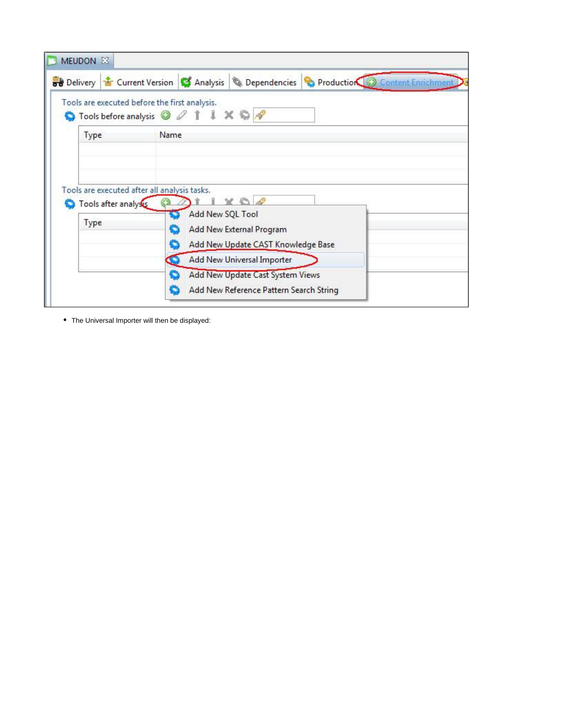|                      | Tools are executed before the first analysis.<br>Tools before analysis <b>O</b> <i>Q</i> 1 1 X © <i>Q</i> |
|----------------------|-----------------------------------------------------------------------------------------------------------|
| Type                 | Name                                                                                                      |
|                      |                                                                                                           |
|                      |                                                                                                           |
|                      |                                                                                                           |
|                      |                                                                                                           |
|                      | Tools are executed after all analysis tasks.                                                              |
| Tools after analysis |                                                                                                           |
| Type                 | Add New SQL Tool                                                                                          |
|                      | Add New External Program<br>Add New Update CAST Knowledge Base                                            |
|                      | Add New Universal Importer                                                                                |
|                      | Add New Update Cast System Views                                                                          |

The Universal Importer will then be displayed: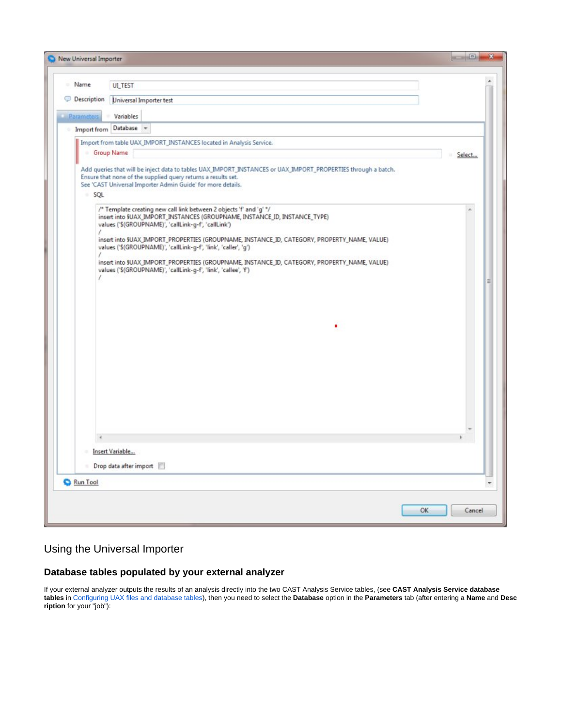| <b>Name</b>        | <b>UI_TEST</b>                                                                                                                                                                                                                                |        |
|--------------------|-----------------------------------------------------------------------------------------------------------------------------------------------------------------------------------------------------------------------------------------------|--------|
| <b>Description</b> | Universal Importer test                                                                                                                                                                                                                       |        |
| Parameters         | Variables                                                                                                                                                                                                                                     |        |
|                    | Import from Database                                                                                                                                                                                                                          |        |
|                    | Import from table UAX_IMPORT_INSTANCES located in Analysis Service.                                                                                                                                                                           |        |
|                    | Group Name                                                                                                                                                                                                                                    | Select |
|                    | Add queries that will be inject data to tables UAX_IMPORT_INSTANCES or UAX_IMPORT_PROPERTIES through a batch.<br>Ensure that none of the supplied query returns a results set.<br>See 'CAST Universal Importer Admin Guide' for more details. |        |
| SQL                |                                                                                                                                                                                                                                               |        |
|                    | /* Template creating new call link between 2 objects 'f' and 'g' */<br>insert into §UAX_IMPORT_INSTANCES (GROUPNAME, INSTANCE_ID, INSTANCE_TYPE)<br>values ('\$(GROUPNAME)', 'callLink-g-f', 'callLink')                                      |        |
|                    | insert into \$UAX_IMPORT_PROPERTIES (GROUPNAME, INSTANCE_ID, CATEGORY, PROPERTY_NAME, VALUE)<br>values ('\$(GROUPNAME)', 'callLink-g-f', 'link', 'caller', 'g')                                                                               |        |
|                    | insert into \$UAX_IMPORT_PROPERTIES (GROUPNAME, INSTANCE_ID, CATEGORY, PROPERTY_NAME, VALUE)<br>values ('\$(GROUPNAME)', 'callLink-g-f', 'link', 'callee', 'f')                                                                               |        |
|                    |                                                                                                                                                                                                                                               |        |
|                    |                                                                                                                                                                                                                                               |        |
|                    | ٠                                                                                                                                                                                                                                             |        |
|                    |                                                                                                                                                                                                                                               |        |
|                    |                                                                                                                                                                                                                                               |        |
|                    |                                                                                                                                                                                                                                               |        |
|                    |                                                                                                                                                                                                                                               |        |
|                    |                                                                                                                                                                                                                                               |        |
|                    |                                                                                                                                                                                                                                               |        |
|                    |                                                                                                                                                                                                                                               |        |
|                    |                                                                                                                                                                                                                                               |        |
|                    |                                                                                                                                                                                                                                               |        |
|                    | Insert Variable                                                                                                                                                                                                                               |        |
|                    | Drop data after import                                                                                                                                                                                                                        |        |
| Run Tool           |                                                                                                                                                                                                                                               |        |
|                    |                                                                                                                                                                                                                                               |        |

## <span id="page-2-0"></span>Using the Universal Importer

### <span id="page-2-1"></span>**Database tables populated by your external analyzer**

If your external analyzer outputs the results of an analysis directly into the two CAST Analysis Service tables, (see **CAST Analysis Service database tables** in [Configuring UAX files and database tables\)](https://doc.castsoftware.com/display/DOC83/Configuring+UAX+files+and+database+tables), then you need to select the **Database** option in the **Parameters** tab (after entering a **Name** and **Desc ription** for your "job"):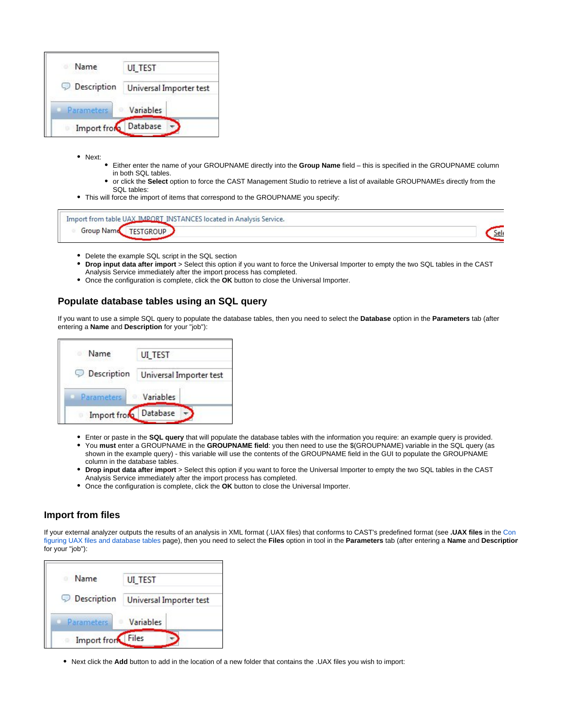| Name<br>$\overline{a}$ | UI_TEST                 |
|------------------------|-------------------------|
| Description            | Universal Importer test |
| Parameters             | Variables               |
| Import from            | Database                |

- Next:
	- Either enter the name of your GROUPNAME directly into the **Group Name** field this is specified in the GROUPNAME column in both SQL tables.
	- or click the **Select** option to force the CAST Management Studio to retrieve a list of available GROUPNAMEs directly from the  $\bullet$ SQL tables:
- This will force the import of items that correspond to the GROUPNAME you specify:

| TNIC<br><b>LANCES</b><br>Service.<br>Anaher <sub>c</sub><br>n samaran san sa Kabupatén Jawa Tanah Indonesia.<br>Pada tahun salah salah salah salah sahiji désa di kacamatan Pangalangan Salah Salah Salah Salah Salah Salah Sa |     |
|--------------------------------------------------------------------------------------------------------------------------------------------------------------------------------------------------------------------------------|-----|
|                                                                                                                                                                                                                                | ۱e۱ |

- Delete the example SQL script in the SQL section
- **Drop input data after import** > Select this option if you want to force the Universal Importer to empty the two SQL tables in the CAST Analysis Service immediately after the import process has completed.
- Once the configuration is complete, click the **OK** button to close the Universal Importer.

#### <span id="page-3-0"></span>**Populate database tables using an SQL query**

If you want to use a simple SQL query to populate the database tables, then you need to select the **Database** option in the **Parameters** tab (after entering a **Name** and **Description** for your "job"):

| Name        | UI_TEST                 |  |
|-------------|-------------------------|--|
| Description | Universal Importer test |  |
| Parameters  | Variables               |  |
| Import from | Database                |  |

- Enter or paste in the **SQL query** that will populate the database tables with the information you require: an example query is provided.  $\bullet$
- You **must** enter a GROUPNAME in the **GROUPNAME field**: you then need to use the \$(GROUPNAME) variable in the SQL query (as shown in the example query) - this variable will use the contents of the GROUPNAME field in the GUI to populate the GROUPNAME column in the database tables.
- **Drop input data after import** > Select this option if you want to force the Universal Importer to empty the two SQL tables in the CAST Analysis Service immediately after the import process has completed.
- $\bullet$ Once the configuration is complete, click the **OK** button to close the Universal Importer.

#### <span id="page-3-1"></span>**Import from files**

If your external analyzer outputs the results of an analysis in XML format (.UAX files) that conforms to CAST's predefined format (see **.UAX files** in the [Con](https://doc.castsoftware.com/display/DOC83/Configuring+UAX+files+and+database+tables) [figuring UAX files and database tables](https://doc.castsoftware.com/display/DOC83/Configuring+UAX+files+and+database+tables) page), then you need to select the **Files** option in tool in the **Parameters** tab (after entering a **Name** and **Description** for your "job"):

| Name               | <b>UI_TEST</b>          |
|--------------------|-------------------------|
| <b>Description</b> | Universal Importer test |
| Parameters         | Variables               |
| Import from        | Files                   |

Next click the **Add** button to add in the location of a new folder that contains the .UAX files you wish to import: